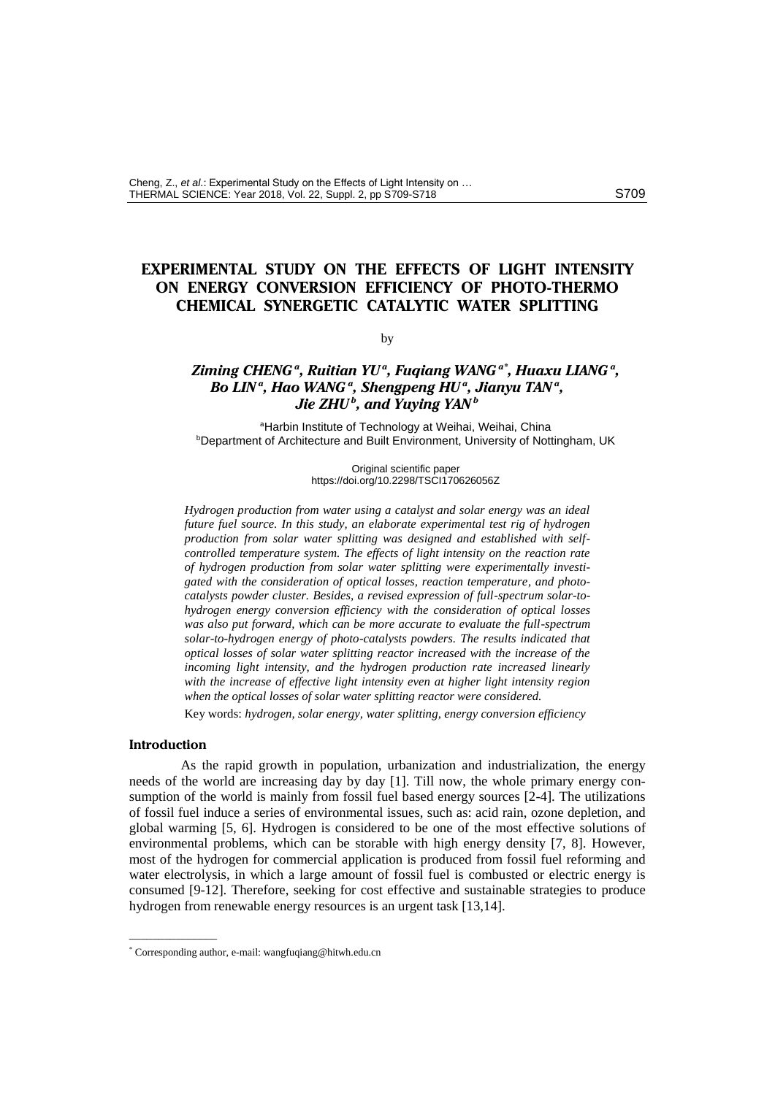# **EXPERIMENTAL STUDY ON THE EFFECTS OF LIGHT INTENSITY ON ENERGY CONVERSION EFFICIENCY OF PHOTO-THERMO CHEMICAL SYNERGETIC CATALYTIC WATER SPLITTING**

by

# *Ziming CHENG <sup>a</sup> , Ruitian YU<sup>a</sup> , Fuqiang WANG a\* , Huaxu LIANG <sup>a</sup> , Bo LIN<sup>a</sup> , Hao WANG <sup>a</sup> , Shengpeng HU<sup>a</sup> , Jianyu TAN <sup>a</sup> , Jie ZHU<sup>b</sup> , and Yuying YAN<sup>b</sup>*

<sup>a</sup>Harbin Institute of Technology at Weihai, Weihai, China **bDepartment of Architecture and Built Environment, University of Nottingham, UK** 

> Original scientific paper <https://doi.org/10.2298/TSCI170626056Z>

*Hydrogen production from water using a catalyst and solar energy was an ideal future fuel source. In this study, an elaborate experimental test rig of hydrogen production from solar water splitting was designed and established with selfcontrolled temperature system. The effects of light intensity on the reaction rate of hydrogen production from solar water splitting were experimentally investigated with the consideration of optical losses, reaction temperature, and photocatalysts powder cluster. Besides, a revised expression of full-spectrum solar-tohydrogen energy conversion efficiency with the consideration of optical losses was also put forward, which can be more accurate to evaluate the full-spectrum solar-to-hydrogen energy of photo-catalysts powders. The results indicated that optical losses of solar water splitting reactor increased with the increase of the incoming light intensity, and the hydrogen production rate increased linearly with the increase of effective light intensity even at higher light intensity region when the optical losses of solar water splitting reactor were considered.* 

Key words: *hydrogen, solar energy, water splitting, energy conversion efficiency*

### **Introduction**

 $\overline{\phantom{a}}$ 

As the rapid growth in population, urbanization and industrialization, the energy needs of the world are increasing day by day [1]. Till now, the whole primary energy consumption of the world is mainly from fossil fuel based energy sources [2-4]. The utilizations of fossil fuel induce a series of environmental issues, such as: acid rain, ozone depletion, and global warming [5, 6]. Hydrogen is considered to be one of the most effective solutions of environmental problems, which can be storable with high energy density [7, 8]. However, most of the hydrogen for commercial application is produced from fossil fuel reforming and water electrolysis, in which a large amount of fossil fuel is combusted or electric energy is consumed [9-12]. Therefore, seeking for cost effective and sustainable strategies to produce hydrogen from renewable energy resources is an urgent task [13,14].

<sup>\*</sup> Corresponding author, e-mail: wangfuqiang@hitwh.edu.cn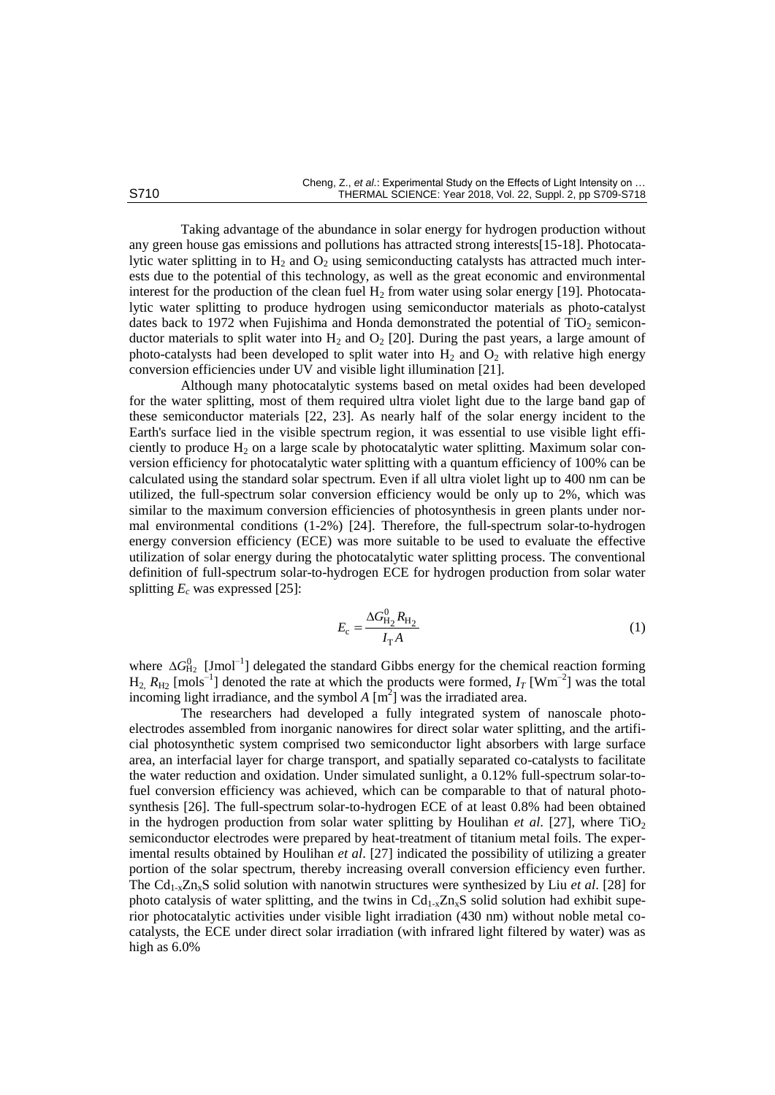Taking advantage of the abundance in solar energy for hydrogen production without any green house gas emissions and pollutions has attracted strong interests[15-18]. Photocatalytic water splitting in to  $H_2$  and  $O_2$  using semiconducting catalysts has attracted much interests due to the potential of this technology, as well as the great economic and environmental interest for the production of the clean fuel  $H_2$  from water using solar energy [19]. Photocatalytic water splitting to produce hydrogen using semiconductor materials as photo-catalyst dates back to 1972 when Fujishima and Honda demonstrated the potential of  $TiO<sub>2</sub>$  semiconductor materials to split water into  $H_2$  and  $O_2$  [20]. During the past years, a large amount of photo-catalysts had been developed to split water into  $H_2$  and  $O_2$  with relative high energy conversion efficiencies under UV and visible light illumination [21].

Although many photocatalytic systems based on metal oxides had been developed for the water splitting, most of them required ultra violet light due to the large band gap of these semiconductor materials [22, 23]. As nearly half of the solar energy incident to the Earth's surface lied in the visible spectrum region, it was essential to use visible light efficiently to produce  $H_2$  on a large scale by photocatalytic water splitting. Maximum solar conversion efficiency for photocatalytic water splitting with a quantum efficiency of 100% can be calculated using the standard solar spectrum. Even if all ultra violet light up to 400 nm can be utilized, the full-spectrum solar conversion efficiency would be only up to 2%, which was similar to the maximum conversion efficiencies of photosynthesis in green plants under normal environmental conditions (1-2%) [24]. Therefore, the full-spectrum solar-to-hydrogen energy conversion efficiency (ECE) was more suitable to be used to evaluate the effective utilization of solar energy during the photocatalytic water splitting process. The conventional definition of full-spectrum solar-to-hydrogen ECE for hydrogen production from solar water splitting  $E_c$  was expressed [25]:

$$
E_{\rm c} = \frac{\Delta G_{\rm H_2}^0 R_{\rm H_2}}{I_{\rm T} A} \tag{1}
$$

where  $\Delta G_{\text{H}_2}^0$  [Jmol<sup>-1</sup>] delegated the standard Gibbs energy for the chemical reaction forming  $H_2$ ,  $R_{H_2}$  [mols<sup>-1</sup>] denoted the rate at which the products were formed,  $I_T$  [Wm<sup>-2</sup>] was the total incoming light irradiance, and the symbol  $A \text{ [m}^2\text{]}$  was the irradiated area.

The researchers had developed a fully integrated system of nanoscale photoelectrodes assembled from inorganic nanowires for direct solar water splitting, and the artificial photosynthetic system comprised two semiconductor light absorbers with large surface area, an interfacial layer for charge transport, and spatially separated co-catalysts to facilitate the water reduction and oxidation. Under simulated sunlight, a 0.12% full-spectrum solar-tofuel conversion efficiency was achieved, which can be comparable to that of natural photosynthesis [26]. The full-spectrum solar-to-hydrogen ECE of at least 0.8% had been obtained in the hydrogen production from solar water splitting by Houlihan *et al.* [27], where  $TiO<sub>2</sub>$ semiconductor electrodes were prepared by heat-treatment of titanium metal foils. The experimental results obtained by Houlihan *et al*. [27] indicated the possibility of utilizing a greater portion of the solar spectrum, thereby increasing overall conversion efficiency even further. The  $Cd_{1-x}Z_{n_x}S$  solid solution with nanotwin structures were synthesized by Liu *et al.* [28] for photo catalysis of water splitting, and the twins in  $Cd_{1-x}Zn_xS$  solid solution had exhibit superior photocatalytic activities under visible light irradiation (430 nm) without noble metal cocatalysts, the ECE under direct solar irradiation (with infrared light filtered by water) was as high as 6.0%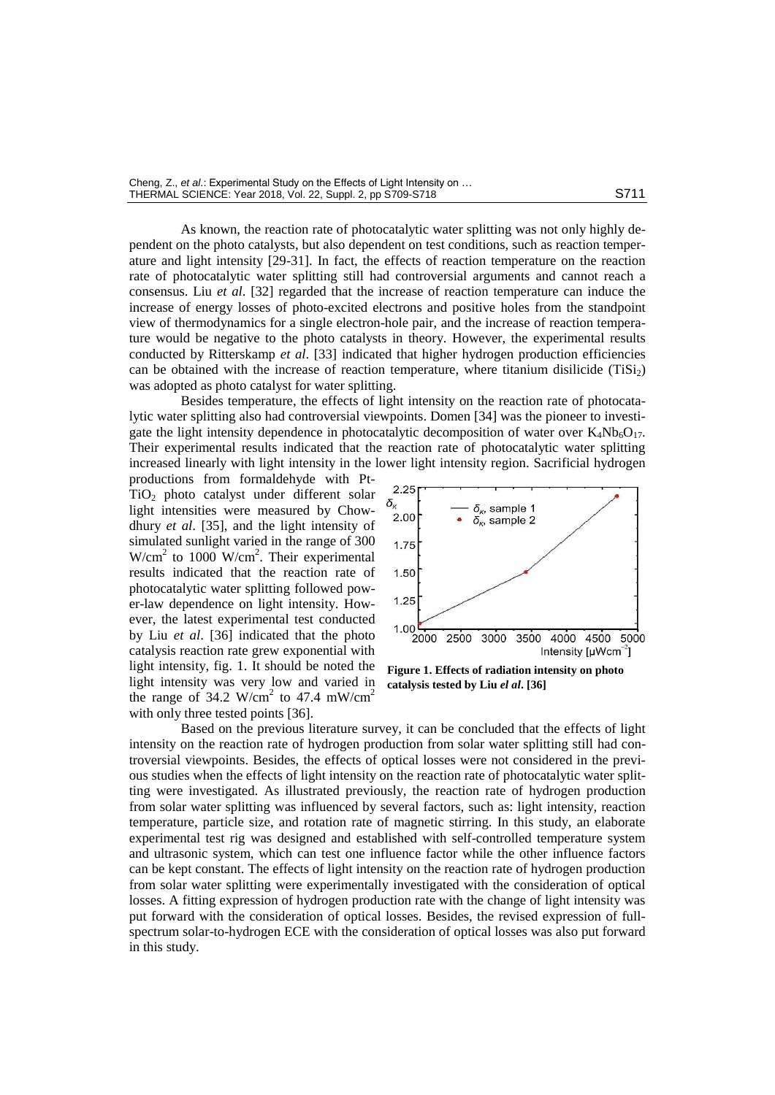As known, the reaction rate of photocatalytic water splitting was not only highly dependent on the photo catalysts, but also dependent on test conditions, such as reaction temperature and light intensity [29-31]. In fact, the effects of reaction temperature on the reaction rate of photocatalytic water splitting still had controversial arguments and cannot reach a consensus. Liu *et al*. [32] regarded that the increase of reaction temperature can induce the increase of energy losses of photo-excited electrons and positive holes from the standpoint view of thermodynamics for a single electron-hole pair, and the increase of reaction temperature would be negative to the photo catalysts in theory. However, the experimental results conducted by Ritterskamp *et al*. [33] indicated that higher hydrogen production efficiencies can be obtained with the increase of reaction temperature, where titanium disilicide  $(TIS<sub>12</sub>)$ was adopted as photo catalyst for water splitting.

Besides temperature, the effects of light intensity on the reaction rate of photocatalytic water splitting also had controversial viewpoints. Domen [34] was the pioneer to investigate the light intensity dependence in photocatalytic decomposition of water over  $K_4Nb_6O_{17}$ . Their experimental results indicated that the reaction rate of photocatalytic water splitting increased linearly with light intensity in the lower light intensity region. Sacrificial hydrogen

productions from formaldehyde with Pt-TiO<sup>2</sup> photo catalyst under different solar light intensities were measured by Chowdhury *et al*. [35], and the light intensity of simulated sunlight varied in the range of 300  $W/cm<sup>2</sup>$  to 1000 W/cm<sup>2</sup>. Their experimental results indicated that the reaction rate of photocatalytic water splitting followed power-law dependence on light intensity. However, the latest experimental test conducted by Liu *et al*. [36] indicated that the photo catalysis reaction rate grew exponential with light intensity, fig. 1. It should be noted the light intensity was very low and varied in the range of 34.2 W/cm<sup>2</sup> to 47.4 mW/cm<sup>2</sup> with only three tested points [36].



**Figure 1. Effects of radiation intensity on photo catalysis tested by Liu** *el al***. [36]**

Based on the previous literature survey, it can be concluded that the effects of light intensity on the reaction rate of hydrogen production from solar water splitting still had controversial viewpoints. Besides, the effects of optical losses were not considered in the previous studies when the effects of light intensity on the reaction rate of photocatalytic water splitting were investigated. As illustrated previously, the reaction rate of hydrogen production from solar water splitting was influenced by several factors, such as: light intensity, reaction temperature, particle size, and rotation rate of magnetic stirring. In this study, an elaborate experimental test rig was designed and established with self-controlled temperature system and ultrasonic system, which can test one influence factor while the other influence factors can be kept constant. The effects of light intensity on the reaction rate of hydrogen production from solar water splitting were experimentally investigated with the consideration of optical losses. A fitting expression of hydrogen production rate with the change of light intensity was put forward with the consideration of optical losses. Besides, the revised expression of fullspectrum solar-to-hydrogen ECE with the consideration of optical losses was also put forward in this study.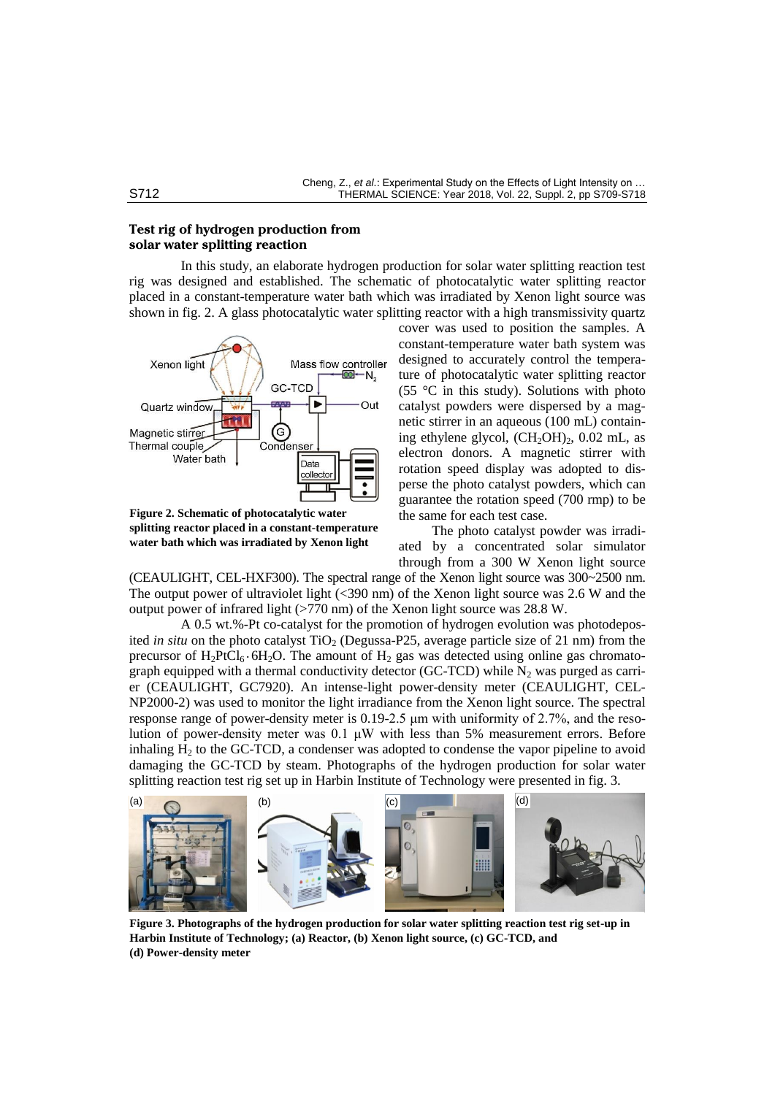# **Test rig of hydrogen production from solar water splitting reaction**

In this study, an elaborate hydrogen production for solar water splitting reaction test rig was designed and established. The schematic of photocatalytic water splitting reactor placed in a constant-temperature water bath which was irradiated by Xenon light source was shown in fig. 2. A glass photocatalytic water splitting reactor with a high transmissivity quartz



**Figure 2. Schematic of photocatalytic water splitting reactor placed in a constant-temperature water bath which was irradiated by Xenon light** 

cover was used to position the samples. A constant-temperature water bath system was designed to accurately control the temperature of photocatalytic water splitting reactor (55 °C in this study). Solutions with photo catalyst powders were dispersed by a magnetic stirrer in an aqueous (100 mL) containing ethylene glycol,  $(CH_2OH)_2$ , 0.02 mL, as electron donors. A magnetic stirrer with rotation speed display was adopted to disperse the photo catalyst powders, which can guarantee the rotation speed (700 rmp) to be the same for each test case.

The photo catalyst powder was irradiated by a concentrated solar simulator through from a 300 W Xenon light source

(CEAULIGHT, CEL-HXF300). The spectral range of the Xenon light source was 300~2500 nm. The output power of ultraviolet light  $(\leq 390 \text{ nm})$  of the Xenon light source was 2.6 W and the output power of infrared light (>770 nm) of the Xenon light source was 28.8 W.

A 0.5 wt.%-Pt co-catalyst for the promotion of hydrogen evolution was photodeposited *in situ* on the photo catalyst TiO<sub>2</sub> (Degussa-P25, average particle size of 21 nm) from the precursor of  $H_2PtCl_6 \cdot 6H_2O$ . The amount of  $H_2$  gas was detected using online gas chromatograph equipped with a thermal conductivity detector (GC-TCD) while  $N_2$  was purged as carrier (CEAULIGHT, GC7920). An intense-light power-density meter (CEAULIGHT, CEL-NP2000-2) was used to monitor the light irradiance from the Xenon light source. The spectral response range of power-density meter is 0.19-2.5 μm with uniformity of 2.7%, and the resolution of power-density meter was 0.1 μW with less than 5% measurement errors. Before inhaling  $H<sub>2</sub>$  to the GC-TCD, a condenser was adopted to condense the vapor pipeline to avoid damaging the GC-TCD by steam. Photographs of the hydrogen production for solar water splitting reaction test rig set up in Harbin Institute of Technology were presented in fig. 3.



**Figure 3. Photographs of the hydrogen production for solar water splitting reaction test rig set-up in Harbin Institute of Technology; (a) Reactor, (b) Xenon light source, (c) GC-TCD, and (d) Power-density meter**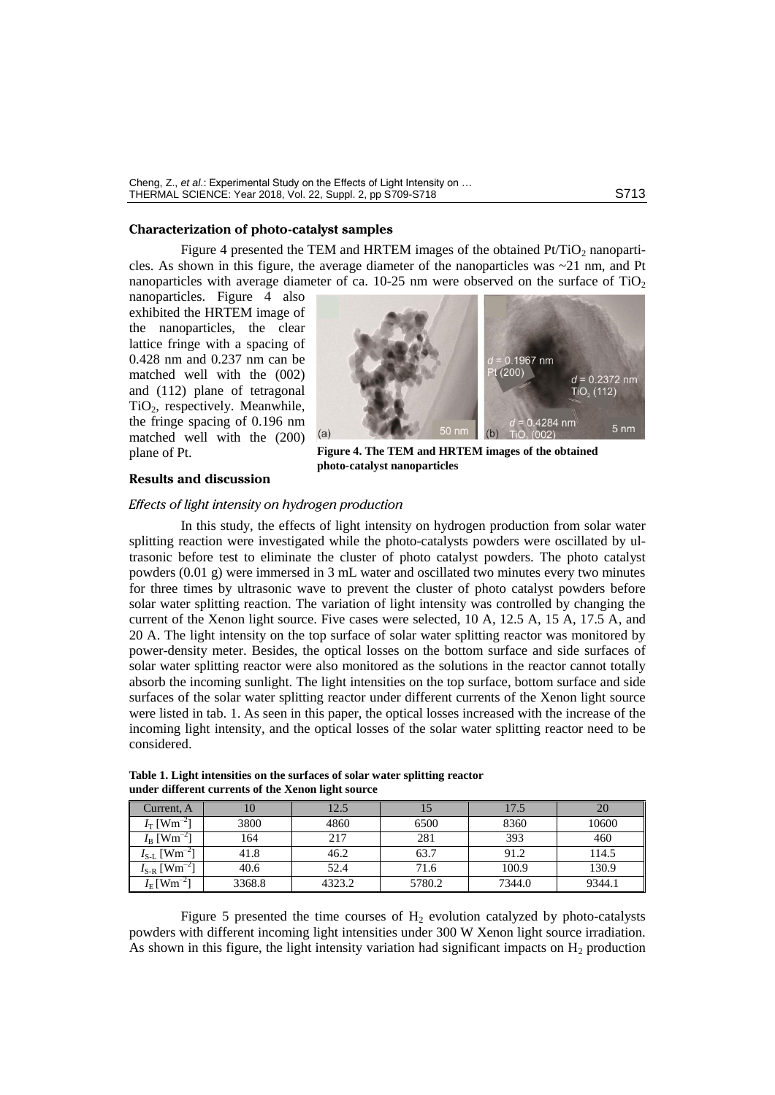Cheng, Z., *et al*.: Experimental Study on the Effects of Light Intensity on … THERMAL SCIENCE: Year 2018, Vol. 22, Suppl. 2, pp S709-S718

## **Characterization of photo-catalyst samples**

Figure 4 presented the TEM and HRTEM images of the obtained  $Pt/TiO<sub>2</sub>$  nanoparticles. As shown in this figure, the average diameter of the nanoparticles was  $\sim$ 21 nm, and Pt nanoparticles with average diameter of ca.  $10{\text -}25$  nm were observed on the surface of TiO<sub>2</sub>

nanoparticles. Figure 4 also exhibited the HRTEM image of the nanoparticles, the clear lattice fringe with a spacing of 0.428 nm and 0.237 nm can be matched well with the (002) and (112) plane of tetragonal TiO2, respectively. Meanwhile, the fringe spacing of 0.196 nm matched well with the (200) plane of Pt.



**Figure 4. The TEM and HRTEM images of the obtained photo-catalyst nanoparticles**

## **Results and discussion**

# *Effects of light intensity on hydrogen production*

In this study, the effects of light intensity on hydrogen production from solar water splitting reaction were investigated while the photo-catalysts powders were oscillated by ultrasonic before test to eliminate the cluster of photo catalyst powders. The photo catalyst powders (0.01 g) were immersed in 3 mL water and oscillated two minutes every two minutes for three times by ultrasonic wave to prevent the cluster of photo catalyst powders before solar water splitting reaction. The variation of light intensity was controlled by changing the current of the Xenon light source. Five cases were selected, 10 A, 12.5 A, 15 A, 17.5 A, and 20 A. The light intensity on the top surface of solar water splitting reactor was monitored by power-density meter. Besides, the optical losses on the bottom surface and side surfaces of solar water splitting reactor were also monitored as the solutions in the reactor cannot totally absorb the incoming sunlight. The light intensities on the top surface, bottom surface and side surfaces of the solar water splitting reactor under different currents of the Xenon light source were listed in tab. 1. As seen in this paper, the optical losses increased with the increase of the incoming light intensity, and the optical losses of the solar water splitting reactor need to be considered.

| Current, A                      | 10     | 12.5   |        | 17.5   | 20     |
|---------------------------------|--------|--------|--------|--------|--------|
| $I_{\rm T}$ [Wm <sup>-2</sup> ] | 3800   | 4860   | 6500   | 8360   | 10600  |
| $I_{\rm B}$ [Wm <sup>-2</sup> ] | 164    | 217    | 281    | 393    | 460    |
| $I_{S-L}$ [Wm <sup>-21</sup>    | 41.8   | 46.2   | 63.7   | 91.2   | 114.5  |
| $I_{S-R}$ [Wm <sup>-2</sup> ]   | 40.6   | 52.4   | 71.6   | 100.9  | 130.9  |
| $I_{\rm E}$ [Wm <sup>-2</sup> ] | 3368.8 | 4323.2 | 5780.2 | 7344.0 | 9344.1 |

**Table 1. Light intensities on the surfaces of solar water splitting reactor under different currents of the Xenon light source**

Figure 5 presented the time courses of  $H_2$  evolution catalyzed by photo-catalysts powders with different incoming light intensities under 300 W Xenon light source irradiation. As shown in this figure, the light intensity variation had significant impacts on  $H_2$  production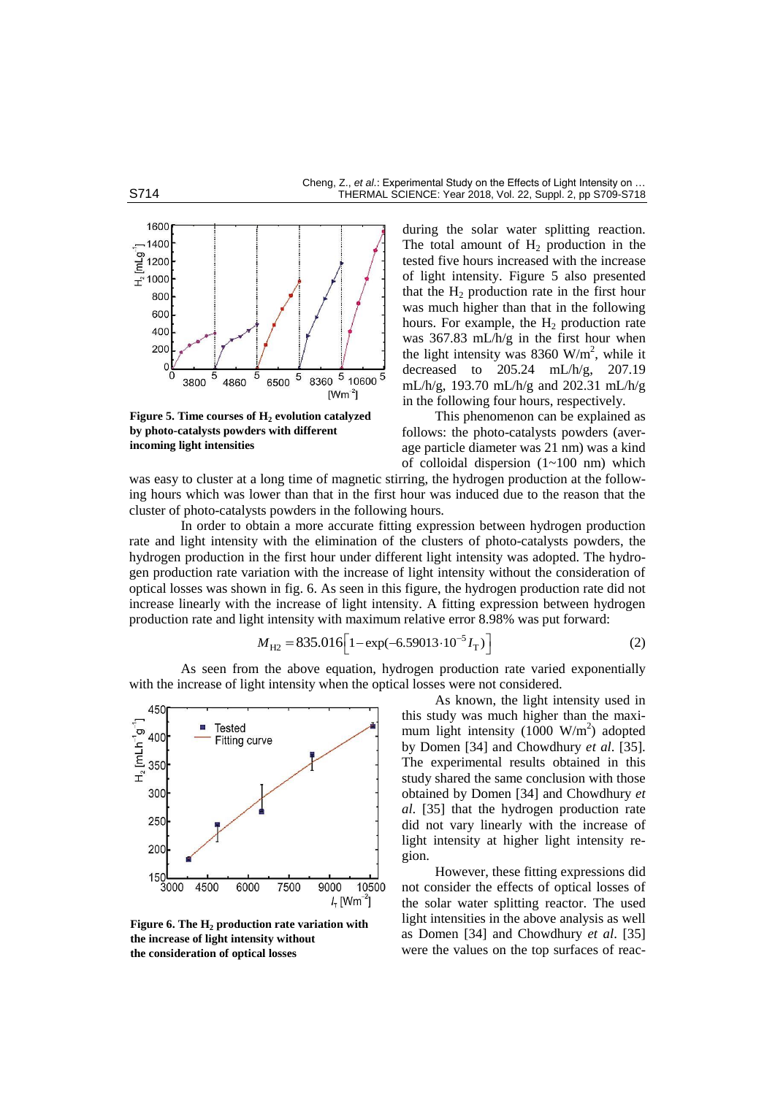

**Figure 5. Time courses of H<sup>2</sup> evolution catalyzed by photo-catalysts powders with different incoming light intensities**

during the solar water splitting reaction. The total amount of  $H_2$  production in the tested five hours increased with the increase of light intensity. Figure 5 also presented that the  $H_2$  production rate in the first hour was much higher than that in the following hours. For example, the  $H_2$  production rate was 367.83 mL/h/g in the first hour when the light intensity was 8360 W/m<sup>2</sup>, while it decreased to 205.24 mL/h/g, 207.19 mL/h/g, 193.70 mL/h/g and 202.31 mL/h/g in the following four hours, respectively.

This phenomenon can be explained as follows: the photo-catalysts powders (average particle diameter was 21 nm) was a kind of colloidal dispersion (1~100 nm) which

was easy to cluster at a long time of magnetic stirring, the hydrogen production at the following hours which was lower than that in the first hour was induced due to the reason that the cluster of photo-catalysts powders in the following hours.

In order to obtain a more accurate fitting expression between hydrogen production rate and light intensity with the elimination of the clusters of photo-catalysts powders, the hydrogen production in the first hour under different light intensity was adopted. The hydrogen production rate variation with the increase of light intensity without the consideration of optical losses was shown in fig. 6. As seen in this figure, the hydrogen production rate did not increase linearly with the increase of light intensity. A fitting expression between hydrogen

production rate and light intensity with maximum relative error 8.98% was put forward:  
\n
$$
M_{\text{H2}} = 835.016 \left[ 1 - \exp(-6.59013 \cdot 10^{-5} I_{\text{T}}) \right]
$$
\n(2)

As seen from the above equation, hydrogen production rate varied exponentially with the increase of light intensity when the optical losses were not considered.



**Figure 6. The H<sup>2</sup> production rate variation with the increase of light intensity without the consideration of optical losses**

As known, the light intensity used in this study was much higher than the maximum light intensity  $(1000 \text{ W/m}^2)$  adopted by Domen [34] and Chowdhury *et al*. [35]. The experimental results obtained in this study shared the same conclusion with those obtained by Domen [34] and Chowdhury *et al*. [35] that the hydrogen production rate did not vary linearly with the increase of light intensity at higher light intensity region.

However, these fitting expressions did not consider the effects of optical losses of the solar water splitting reactor. The used light intensities in the above analysis as well as Domen [34] and Chowdhury *et al*. [35] were the values on the top surfaces of reac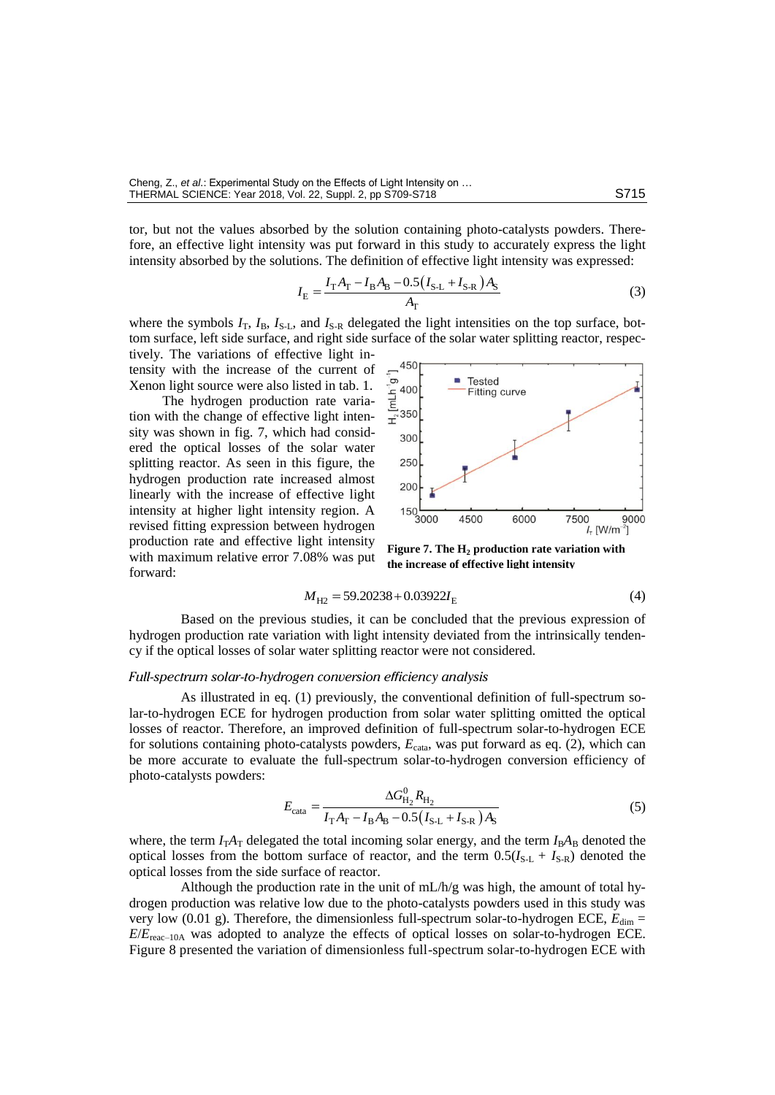tor, but not the values absorbed by the solution containing photo-catalysts powders. Therefore, an effective light intensity was put forward in this study to accurately express the light intensity absorbed by the solutions. The definition of effective light intensity was expressed:<br> $I = \frac{I_T A_T - I_B A_B - 0.5(I_{S-L} + I_{S-R})A_S}{I}$ 

$$
I_{\rm E} = \frac{I_{\rm T}A_{\rm T} - I_{\rm B}A_{\rm B} - 0.5(I_{\rm S-L} + I_{\rm S-R})A_{\rm S}}{A_{\rm T}}
$$
(3)

where the symbols  $I_T$ ,  $I_B$ ,  $I_{S-L}$ , and  $I_{S-R}$  delegated the light intensities on the top surface, bottom surface, left side surface, and right side surface of the solar water splitting reactor, respec-

tively. The variations of effective light intensity with the increase of the current of Xenon light source were also listed in tab. 1.

The hydrogen production rate variation with the change of effective light intensity was shown in fig. 7, which had considered the optical losses of the solar water splitting reactor. As seen in this figure, the hydrogen production rate increased almost linearly with the increase of effective light intensity at higher light intensity region. A revised fitting expression between hydrogen production rate and effective light intensity with maximum relative error 7.08% was put forward:



**Figure 7. The H<sup>2</sup> production rate variation with the increase of effective light intensity**

$$
M_{\text{H2}} = 59.20238 + 0.03922 I_{\text{E}} \tag{4}
$$

Based on the previous studies, it can be concluded that the previous expression of hydrogen production rate variation with light intensity deviated from the intrinsically tendency if the optical losses of solar water splitting reactor were not considered.

### *Full-spectrum solar-to-hydrogen conversion efficiency analysis*

As illustrated in eq. (1) previously, the conventional definition of full-spectrum solar-to-hydrogen ECE for hydrogen production from solar water splitting omitted the optical losses of reactor. Therefore, an improved definition of full-spectrum solar-to-hydrogen ECE for solutions containing photo-catalysts powders,  $E<sub>cata</sub>$ , was put forward as eq. (2), which can be more accurate to evaluate the full-spectrum solar-to-hydrogen conversion efficiency of photo-catalysts powders:

$$
E_{\text{cata}} = \frac{\Delta G_{\text{H}_2}^0 R_{\text{H}_2}}{I_{\text{T}} A_{\text{T}} - I_{\text{B}} A_{\text{B}} - 0.5 (I_{\text{S-L}} + I_{\text{S-R}}) A_{\text{S}}}
$$
(5)

where, the term  $I_T A_T$  delegated the total incoming solar energy, and the term  $I_B A_B$  denoted the optical losses from the bottom surface of reactor, and the term  $0.5(I_{S-L} + I_{S-R})$  denoted the optical losses from the side surface of reactor.

Although the production rate in the unit of mL/h/g was high, the amount of total hydrogen production was relative low due to the photo-catalysts powders used in this study was very low (0.01 g). Therefore, the dimensionless full-spectrum solar-to-hydrogen ECE, *E*dim = *E*/*E*reac–10A was adopted to analyze the effects of optical losses on solar-to-hydrogen ECE. Figure 8 presented the variation of dimensionless full-spectrum solar-to-hydrogen ECE with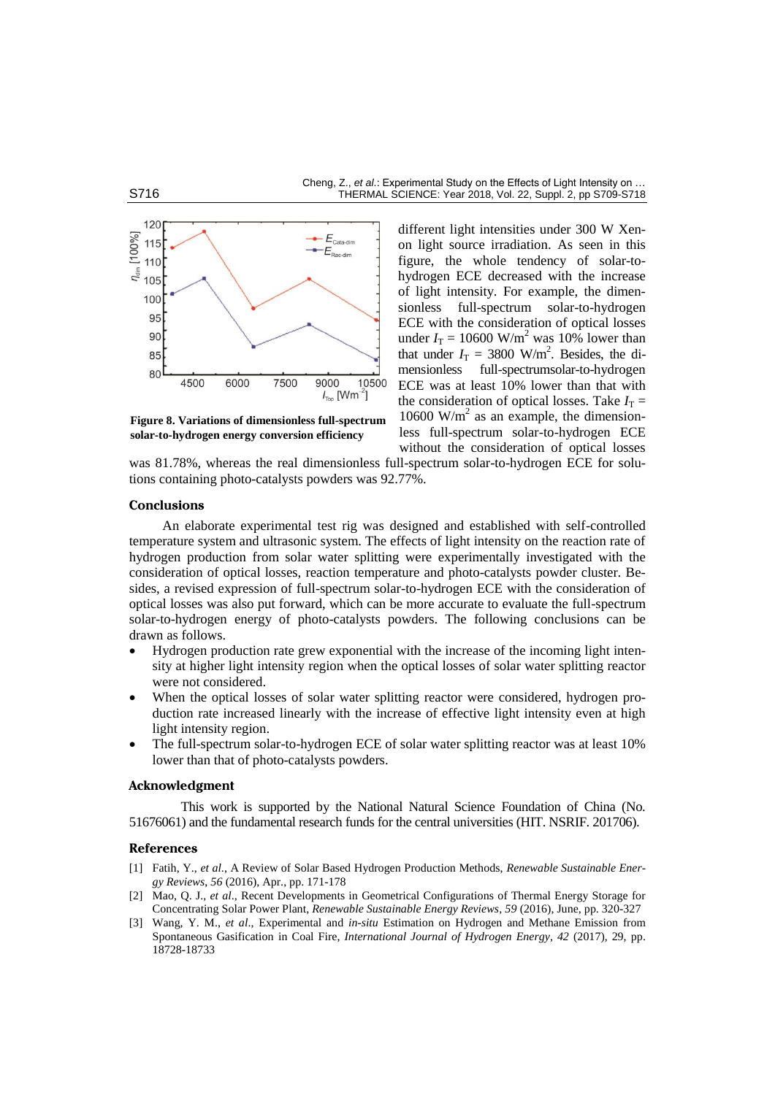#### Cheng, Z., *et al*.: Experimental Study on the Effects of Light Intensity on … S716 **THERMAL SCIENCE: Year 2018, Vol. 22, Suppl. 2, pp S709-S718**



**Figure 8. Variations of dimensionless full-spectrum solar-to-hydrogen energy conversion efficiency** 

different light intensities under 300 W Xenon light source irradiation. As seen in this figure, the whole tendency of solar-tohydrogen ECE decreased with the increase of light intensity. For example, the dimensionless full-spectrum solar-to-hydrogen ECE with the consideration of optical losses under  $I_T = 10600$  W/m<sup>2</sup> was 10% lower than that under  $I_T = 3800$  W/m<sup>2</sup>. Besides, the dimensionless full-spectrumsolar-to-hydrogen ECE was at least 10% lower than that with the consideration of optical losses. Take  $I_T$  = 10600 W/m<sup>2</sup> as an example, the dimensionless full-spectrum solar-to-hydrogen ECE without the consideration of optical losses

was 81.78%, whereas the real dimensionless full-spectrum solar-to-hydrogen ECE for solutions containing photo-catalysts powders was 92.77%.

# **Conclusions**

An elaborate experimental test rig was designed and established with self-controlled temperature system and ultrasonic system. The effects of light intensity on the reaction rate of hydrogen production from solar water splitting were experimentally investigated with the consideration of optical losses, reaction temperature and photo-catalysts powder cluster. Besides, a revised expression of full-spectrum solar-to-hydrogen ECE with the consideration of optical losses was also put forward, which can be more accurate to evaluate the full-spectrum solar-to-hydrogen energy of photo-catalysts powders. The following conclusions can be drawn as follows.

- Hydrogen production rate grew exponential with the increase of the incoming light intensity at higher light intensity region when the optical losses of solar water splitting reactor were not considered.
- When the optical losses of solar water splitting reactor were considered, hydrogen production rate increased linearly with the increase of effective light intensity even at high light intensity region.
- The full-spectrum solar-to-hydrogen ECE of solar water splitting reactor was at least 10% lower than that of photo-catalysts powders.

#### **Acknowledgment**

This work is supported by the National Natural Science Foundation of China (No. 51676061) and the fundamental research funds for the central universities (HIT. NSRIF. 201706).

#### **References**

- [1] Fatih, Y., *et al*., A Review of Solar Based Hydrogen Production Methods, *Renewable Sustainable Energy Reviews*, *56* (2016), Apr., pp. 171-178
- [2] Mao, Q. J., *et al*., Recent Developments in Geometrical Configurations of Thermal Energy Storage for Concentrating Solar Power Plant, *Renewable Sustainable Energy Reviews, 59* (2016), June, pp. 320-327
- [3] Wang, Y. M., *et al*., Experimental and *in-situ* Estimation on Hydrogen and Methane Emission from Spontaneous Gasification in Coal Fire, *International Journal of Hydrogen Energy, 42* (2017), 29, pp. 18728-18733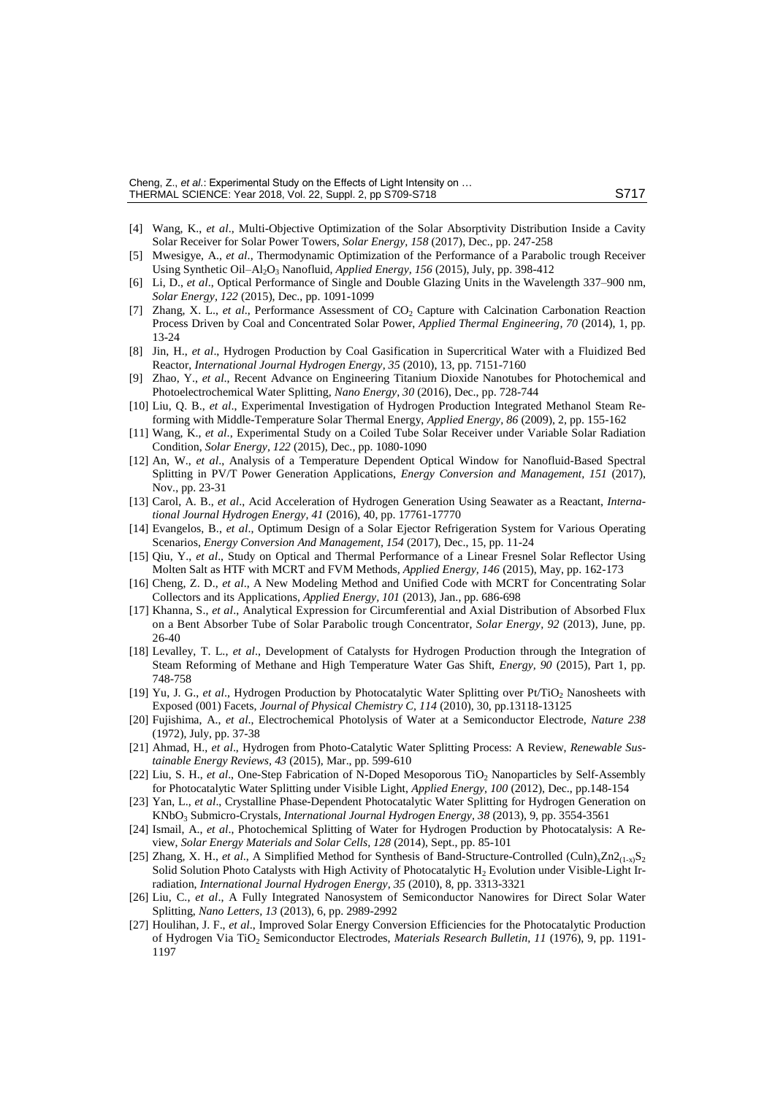- [4] Wang, K., *et al*., Multi-Objective Optimization of the Solar Absorptivity Distribution Inside a Cavity Solar Receiver for Solar Power Towers, *Solar Energy, 158* (2017), Dec., pp. 247-258
- [5] Mwesigye, A., *et al*., Thermodynamic Optimization of the Performance of a Parabolic trough Receiver Using Synthetic Oil-Al<sub>2</sub>O<sub>3</sub> Nanofluid, *Applied Energy, 156* (2015), July, pp. 398-412
- [6] Li, D., *et al*., Optical Performance of Single and Double Glazing Units in the Wavelength 337–900 nm, *Solar Energy, 122* (2015), Dec., pp. 1091-1099
- [7] Zhang, X. L., *et al.*, Performance Assessment of CO<sub>2</sub> Capture with Calcination Carbonation Reaction Process Driven by Coal and Concentrated Solar Power, *Applied Thermal Engineering, 70* (2014), 1, pp. 13-24
- [8] Jin, H., *et al*., [Hydrogen Production by Coal Gasification in Supercritical Water with a](http://www.sciencedirect.com/science/article/pii/S0360319910001709) Fluidized Bed [Reactor,](http://www.sciencedirect.com/science/article/pii/S0360319910001709) *International Journal Hydrogen Energy, 35* (2010), 13, pp. 7151-7160
- [9] Zhao, Y., *et al*., Recent Advance on Engineering Titanium Dioxide Nanotubes for Photochemical and Photoelectrochemical Water Splitting, *Nano Energy, 30* (2016), Dec., pp. 728-744
- [10] Liu, Q. B., *et al*., Experimental Investigation of Hydrogen Production Integrated Methanol Steam Reforming with Middle-Temperature Solar Thermal Energy, *Applied Energy, 86* (2009), 2, pp. 155-162
- [11] Wang, K., *et al*., Experimental Study on a Coiled Tube Solar Receiver under Variable Solar Radiation Condition, *Solar Energy, 122* (2015), Dec., pp. 1080-1090
- [12] An, W., *et al*., Analysis of a Temperature Dependent Optical Window for Nanofluid-Based Spectral Splitting in PV/T Power Generation Applications, *Energy Conversion and Management, 151* (2017), Nov., pp. 23-31
- [13] Carol, A. B., *et al*., Acid Acceleration of Hydrogen Generation Using Seawater as a Reactant, *International Journal Hydrogen Energy, 41* (2016), 40, pp. 17761-17770
- [14] Evangelos, B., *et al*., Optimum Design of a Solar Ejector Refrigeration System for Various Operating Scenarios, *Energy Conversion And Management, 154* (2017), Dec., 15, pp. 11-24
- [15] Qiu, Y., *et al*., Study on Optical and Thermal Performance of a Linear Fresnel Solar Reflector Using Molten Salt as HTF with MCRT and FVM Methods, *Applied Energy, 146* (2015), May, pp. 162-173
- [16] Cheng, Z. D., *et al*., A New Modeling Method and Unified Code with MCRT for Concentrating Solar Collectors and its Applications, *Applied Energy, 101* (2013), Jan., pp. 686-698
- [17] Khanna, S., *et al*., Analytical Expression for Circumferential and Axial Distribution of Absorbed Flux on a Bent Absorber Tube of Solar Parabolic trough Concentrator, *Solar Energy, 92* (2013), June, pp. 26-40
- [18] Levalley, T. L., *et al*., Development of Catalysts for Hydrogen Production through the Integration of Steam Reforming of Methane and High Temperature Water Gas Shift, *Energy, 90* (2015), Part 1, pp. 748-758
- [19] Yu, J. G., *et al.*, Hydrogen Production by Photocatalytic Water Splitting over Pt/TiO<sub>2</sub> Nanosheets with Exposed (001) Facets, *Journal of Physical Chemistry C, 114* (2010), 30, pp.13118-13125
- [20] Fujishima, A., *et al*., Electrochemical Photolysis of Water at a Semiconductor Electrode, *Nature 238* (1972), July, pp. 37-38
- [21] Ahmad, H., *et al*., Hydrogen from Photo-Catalytic Water Splitting Process: A Review, *Renewable Sustainable Energy Reviews, 43* (2015), Mar., pp. 599-610
- [22] Liu, S. H., *et al.*, One-Step Fabrication of N-Doped Mesoporous TiO<sub>2</sub> Nanoparticles by Self-Assembly for Photocatalytic Water Splitting under Visible Light, *Applied Energy, 100* (2012), Dec., pp.148-154
- [23] Yan, L., *et al*., Crystalline Phase-Dependent Photocatalytic Water Splitting for Hydrogen Generation on KNbO<sup>3</sup> Submicro-Crystals, *International Journal Hydrogen Energy, 38* (2013), 9, pp. 3554-3561
- [24] Ismail, A., *et al*., Photochemical Splitting of Water for Hydrogen Production by Photocatalysis: A Review, *Solar Energy Materials and Solar Cells, 128* (2014), Sept., pp. 85-101
- [25] Zhang, X. H., *et al.*, A Simplified Method for Synthesis of Band-Structure-Controlled (Culn)<sub>x</sub>Zn2<sub>(1-x)</sub>S<sub>2</sub> Solid Solution Photo Catalysts with High Activity of Photocatalytic  $H_2$  Evolution under Visible-Light Irradiation, *International Journal Hydrogen Energy, 35* (2010), 8, pp. 3313-3321
- [26] Liu, C., *et al*., A Fully Integrated Nanosystem of Semiconductor Nanowires for Direct Solar Water Splitting, *Nano Letters, 13* (2013), 6, pp. 2989-2992
- [27] Houlihan, J. F., *et al*., Improved Solar Energy Conversion Efficiencies for the Photocatalytic Production of Hydrogen Via TiO<sup>2</sup> Semiconductor Electrodes, *Materials Research Bulletin, 11* (1976), 9, pp. 1191- 1197